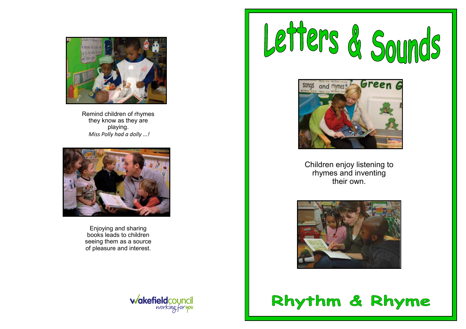

Remind children of rhymes they know as they are playing. *Miss Polly had a dolly ...!*



Enjoying and sharing books leads to children seeing them as a source of pleasure and interest.







Children enjoy listening to rhymes and inventing their own.



Rhythm & Rhyme